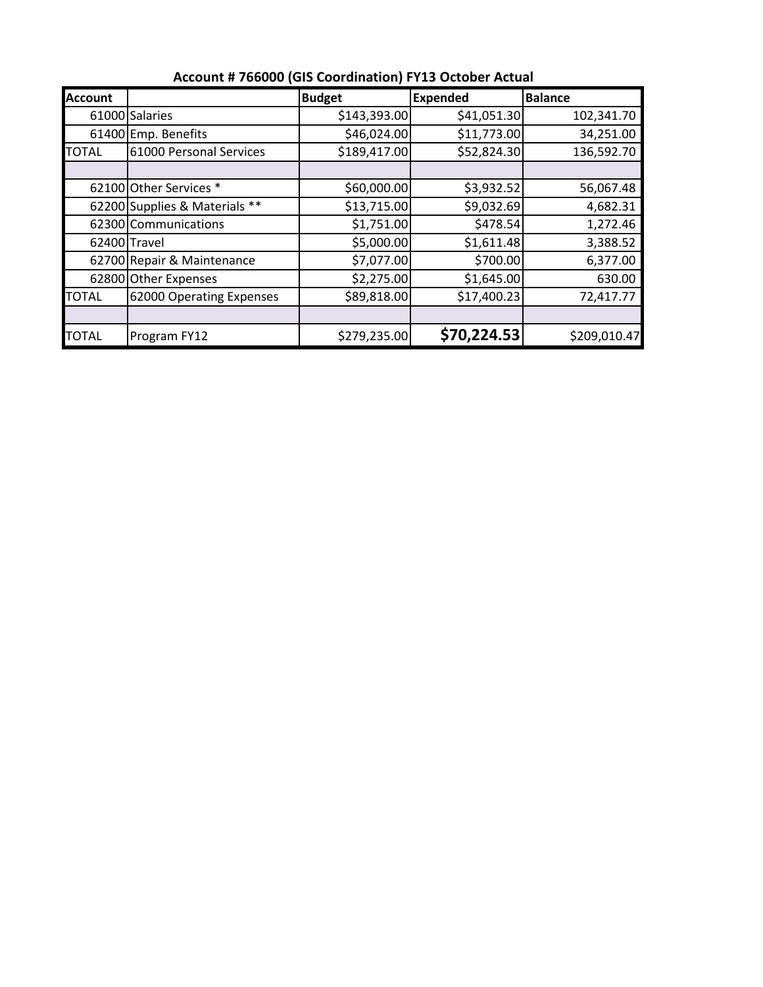| <b>Account</b> |                               | <b>Budget</b> | <b>Expended</b> | <b>Balance</b> |
|----------------|-------------------------------|---------------|-----------------|----------------|
|                | 61000 Salaries                | \$143,393.00  | \$41,051.30     | 102,341.70     |
|                | 61400 Emp. Benefits           | \$46,024.00   | \$11,773.00     | 34,251.00      |
| <b>TOTAL</b>   | 61000 Personal Services       | \$189,417.00  | \$52,824.30     | 136,592.70     |
|                |                               |               |                 |                |
|                | 62100 Other Services *        | \$60,000.00   | \$3,932.52      | 56,067.48      |
|                | 62200 Supplies & Materials ** | \$13,715.00   | \$9,032.69      | 4,682.31       |
|                | 62300 Communications          | \$1,751.00    | \$478.54        | 1,272.46       |
| 62400 Travel   |                               | \$5,000.00    | \$1,611.48      | 3,388.52       |
|                | 62700 Repair & Maintenance    | \$7,077.00    | \$700.00        | 6,377.00       |
|                | 62800 Other Expenses          | \$2,275.00    | \$1,645.00      | 630.00         |
| TOTAL          | 62000 Operating Expenses      | \$89,818.00   | \$17,400.23     | 72,417.77      |
|                |                               |               |                 |                |
| <b>TOTAL</b>   | Program FY12                  | \$279,235.00  | \$70,224.53     | \$209,010.47   |

**Account # 766000 (GIS Coordination) FY13 October Actual**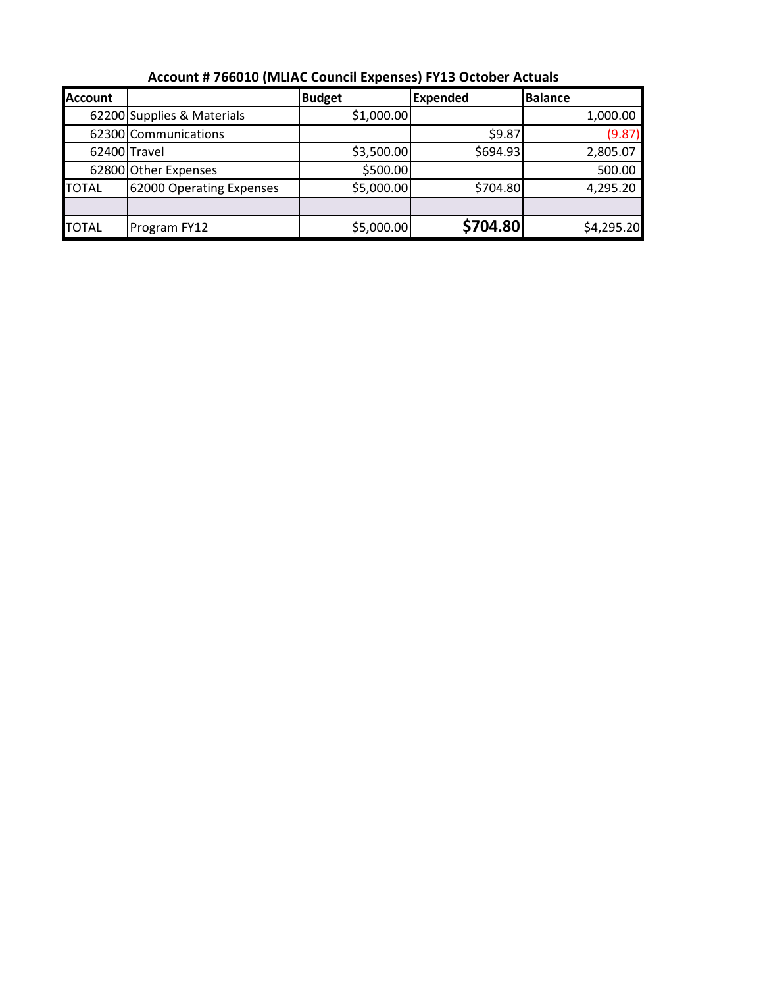| <b>Account</b> |                            | <b>Budget</b> | <b>Expended</b> | <b>Balance</b> |
|----------------|----------------------------|---------------|-----------------|----------------|
|                | 62200 Supplies & Materials | \$1,000.00    |                 | 1,000.00       |
|                | 62300 Communications       |               | \$9.87          | (9.87)         |
| 62400 Travel   |                            | \$3,500.00    | \$694.93        | 2,805.07       |
|                | 62800 Other Expenses       | \$500.00      |                 | 500.00         |
| <b>TOTAL</b>   | 62000 Operating Expenses   | \$5,000.00    | \$704.80        | 4,295.20       |
|                |                            |               |                 |                |
| <b>TOTAL</b>   | Program FY12               | \$5,000.00    | \$704.80        | \$4,295.20     |

**Account # 766010 (MLIAC Council Expenses) FY13 October Actuals**